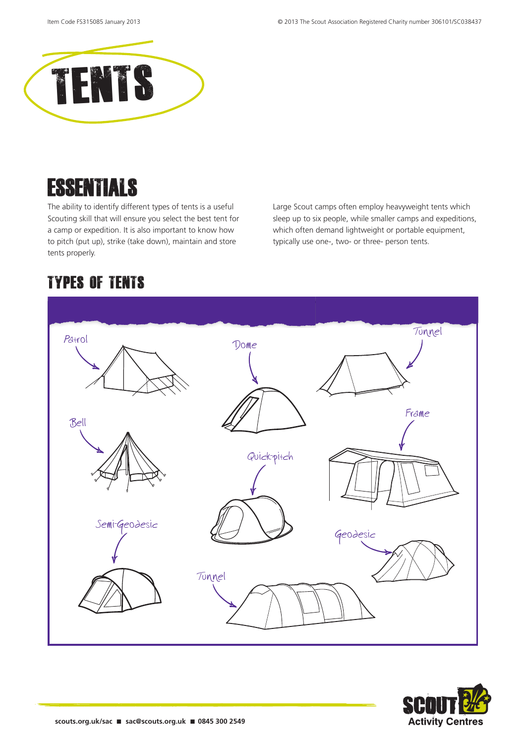

## **ESSENTIALS**

The ability to identify different types of tents is a useful Scouting skill that will ensure you select the best tent for a camp or expedition. It is also important to know how to pitch (put up), strike (take down), maintain and store tents properly.

Large Scout camps often employ heavyweight tents which sleep up to six people, while smaller camps and expeditions, which often demand lightweight or portable equipment, typically use one-, two- or three- person tents.

### Types of tents



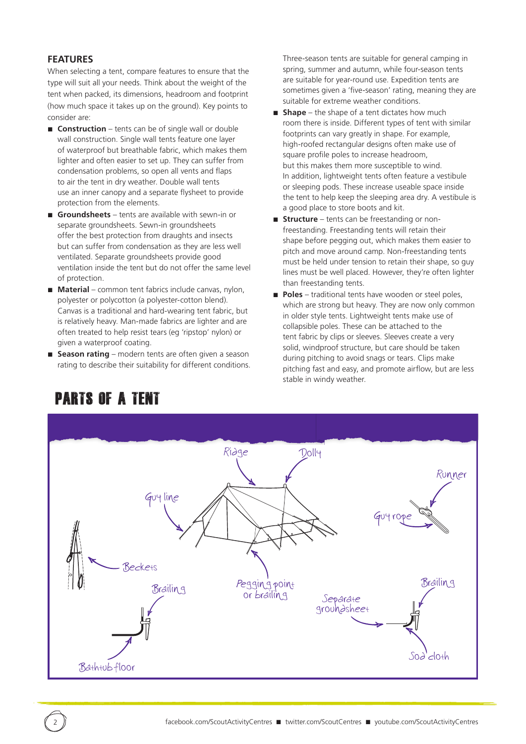#### **FEATURES**

When selecting a tent, compare features to ensure that the type will suit all your needs. Think about the weight of the tent when packed, its dimensions, headroom and footprint (how much space it takes up on the ground). Key points to consider are:

- **Construction** tents can be of single wall or double wall construction. Single wall tents feature one layer of waterproof but breathable fabric, which makes them lighter and often easier to set up. They can suffer from condensation problems, so open all vents and flaps to air the tent in dry weather. Double wall tents use an inner canopy and a separate flysheet to provide protection from the elements.
- **Groundsheets** tents are available with sewn-in or separate groundsheets. Sewn-in groundsheets offer the best protection from draughts and insects but can suffer from condensation as they are less well ventilated. Separate groundsheets provide good ventilation inside the tent but do not offer the same level of protection.
- **Material** common tent fabrics include canvas, nylon, polyester or polycotton (a polyester-cotton blend). Canvas is a traditional and hard-wearing tent fabric, but is relatively heavy. Man-made fabrics are lighter and are often treated to help resist tears (eg 'ripstop' nylon) or given a waterproof coating.
- **Season rating** modern tents are often given a season rating to describe their suitability for different conditions.

Three-season tents are suitable for general camping in spring, summer and autumn, while four-season tents are suitable for year-round use. Expedition tents are sometimes given a 'five-season' rating, meaning they are suitable for extreme weather conditions.

- **Shape** the shape of a tent dictates how much room there is inside. Different types of tent with similar footprints can vary greatly in shape. For example, high-roofed rectangular designs often make use of square profile poles to increase headroom, but this makes them more susceptible to wind. In addition, lightweight tents often feature a vestibule or sleeping pods. These increase useable space inside the tent to help keep the sleeping area dry. A vestibule is a good place to store boots and kit.
- **Structure** tents can be freestanding or nonfreestanding. Freestanding tents will retain their shape before pegging out, which makes them easier to pitch and move around camp. Non-freestanding tents must be held under tension to retain their shape, so guy lines must be well placed. However, they're often lighter than freestanding tents.
- **Poles** traditional tents have wooden or steel poles, which are strong but heavy. They are now only common in older style tents. Lightweight tents make use of collapsible poles. These can be attached to the tent fabric by clips or sleeves. Sleeves create a very solid, windproof structure, but care should be taken during pitching to avoid snags or tears. Clips make pitching fast and easy, and promote airflow, but are less stable in windy weather.



### Parts of a tent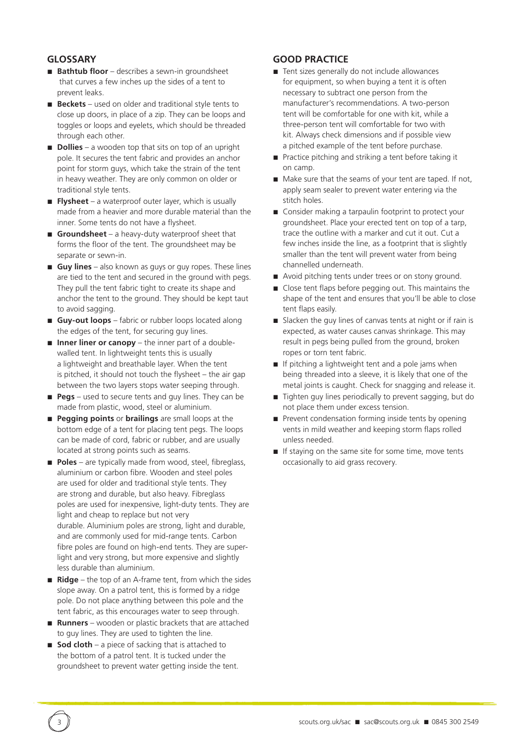### **GLOSSARY**

- **Bathtub floor** describes a sewn-in groundsheet that curves a few inches up the sides of a tent to prevent leaks.
- **Beckets** used on older and traditional style tents to close up doors, in place of a zip. They can be loops and toggles or loops and eyelets, which should be threaded through each other.
- **Dollies** a wooden top that sits on top of an upright pole. It secures the tent fabric and provides an anchor point for storm guys, which take the strain of the tent in heavy weather. They are only common on older or traditional style tents.
- **Flysheet**  a waterproof outer layer, which is usually made from a heavier and more durable material than the inner. Some tents do not have a flysheet.
- **Groundsheet** a heavy-duty waterproof sheet that forms the floor of the tent. The groundsheet may be separate or sewn-in.
- **Guy lines** also known as guys or guy ropes. These lines are tied to the tent and secured in the ground with pegs. They pull the tent fabric tight to create its shape and anchor the tent to the ground. They should be kept taut to avoid sagging.
- **Guy-out loops** fabric or rubber loops located along the edges of the tent, for securing guy lines.
- **Inner liner or canopy** the inner part of a doublewalled tent. In lightweight tents this is usually a lightweight and breathable layer. When the tent is pitched, it should not touch the flysheet – the air gap between the two layers stops water seeping through.
- **Pegs** used to secure tents and guy lines. They can be made from plastic, wood, steel or aluminium.
- **Pegging points** or **brailings** are small loops at the bottom edge of a tent for placing tent pegs. The loops can be made of cord, fabric or rubber, and are usually located at strong points such as seams.
- **Poles** are typically made from wood, steel, fibreglass, aluminium or carbon fibre. Wooden and steel poles are used for older and traditional style tents. They are strong and durable, but also heavy. Fibreglass poles are used for inexpensive, light-duty tents. They are light and cheap to replace but not very durable. Aluminium poles are strong, light and durable, and are commonly used for mid-range tents. Carbon fibre poles are found on high-end tents. They are superlight and very strong, but more expensive and slightly less durable than aluminium.
- **Ridge** the top of an A-frame tent, from which the sides slope away. On a patrol tent, this is formed by a ridge pole. Do not place anything between this pole and the tent fabric, as this encourages water to seep through.
- **Runners** wooden or plastic brackets that are attached to guy lines. They are used to tighten the line.
- **Sod cloth** a piece of sacking that is attached to the bottom of a patrol tent. It is tucked under the groundsheet to prevent water getting inside the tent.

### **GOOD PRACTICE**

- Tent sizes generally do not include allowances for equipment, so when buying a tent it is often necessary to subtract one person from the manufacturer's recommendations. A two-person tent will be comfortable for one with kit, while a three-person tent will comfortable for two with kit. Always check dimensions and if possible view a pitched example of the tent before purchase.
- Practice pitching and striking a tent before taking it on camp.
- Make sure that the seams of your tent are taped. If not, apply seam sealer to prevent water entering via the stitch holes.
- Consider making a tarpaulin footprint to protect your groundsheet. Place your erected tent on top of a tarp, trace the outline with a marker and cut it out. Cut a few inches inside the line, as a footprint that is slightly smaller than the tent will prevent water from being channelled underneath.
- Avoid pitching tents under trees or on stony ground.
- Close tent flaps before pegging out. This maintains the shape of the tent and ensures that you'll be able to close tent flaps easily.
- Slacken the guy lines of canvas tents at night or if rain is expected, as water causes canvas shrinkage. This may result in pegs being pulled from the ground, broken ropes or torn tent fabric.
- If pitching a lightweight tent and a pole jams when being threaded into a sleeve, it is likely that one of the metal joints is caught. Check for snagging and release it.
- Tighten guy lines periodically to prevent sagging, but do not place them under excess tension.
- Prevent condensation forming inside tents by opening vents in mild weather and keeping storm flaps rolled unless needed.
- If staying on the same site for some time, move tents occasionally to aid grass recovery.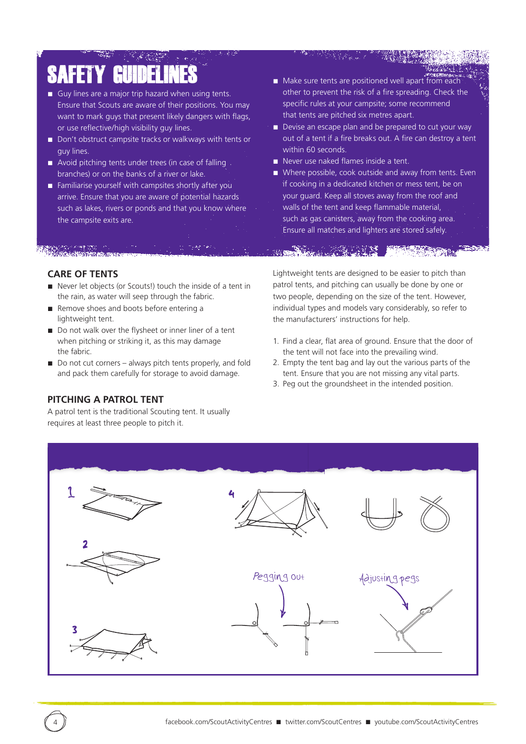# SAFET

- Guy lines are a major trip hazard when using tents. Ensure that Scouts are aware of their positions. You may want to mark guys that present likely dangers with flags, or use reflective/high visibility guy lines.
- Don't obstruct campsite tracks or walkways with tents or guy lines.
- Avoid pitching tents under trees (in case of falling branches) or on the banks of a river or lake.
- Familiarise yourself with campsites shortly after you arrive. Ensure that you are aware of potential hazards such as lakes, rivers or ponds and that you know where the campsite exits are.

■ Make sure tents are positioned well apart from each other to prevent the risk of a fire spreading. Check the specific rules at your campsite; some recommend that tents are pitched six metres apart.

- Devise an escape plan and be prepared to cut your way out of a tent if a fire breaks out. A fire can destroy a tent within 60 seconds.
- Never use naked flames inside a tent.
- Where possible, cook outside and away from tents. Even if cooking in a dedicated kitchen or mess tent, be on your guard. Keep all stoves away from the roof and walls of the tent and keep flammable material, such as gas canisters, away from the cooking area. Ensure all matches and lighters are stored safely.

#### **CARE OF TENTS**

- Never let objects (or Scouts!) touch the inside of a tent in the rain, as water will seep through the fabric.
- Remove shoes and boots before entering a lightweight tent.
- Do not walk over the flysheet or inner liner of a tent when pitching or striking it, as this may damage the fabric.
- Do not cut corners always pitch tents properly, and fold and pack them carefully for storage to avoid damage.

### **PITCHING A PATROL TENT**

A patrol tent is the traditional Scouting tent. It usually requires at least three people to pitch it.

Lightweight tents are designed to be easier to pitch than patrol tents, and pitching can usually be done by one or two people, depending on the size of the tent. However, individual types and models vary considerably, so refer to the manufacturers' instructions for help.

- 1. Find a clear, flat area of ground. Ensure that the door of the tent will not face into the prevailing wind.
- 2. Empty the tent bag and lay out the various parts of the tent. Ensure that you are not missing any vital parts.
- 3. Peg out the groundsheet in the intended position.